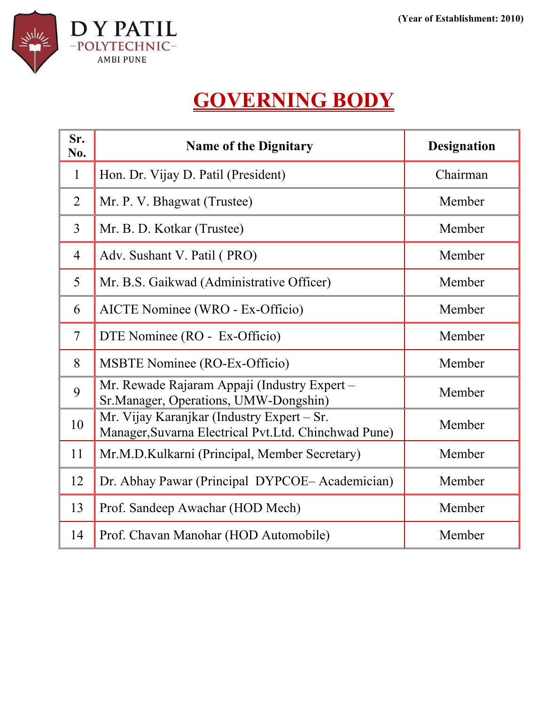

# **GOVERNING BODY**

| Sr.<br>No.     | <b>Name of the Dignitary</b>                                                                        | <b>Designation</b> |
|----------------|-----------------------------------------------------------------------------------------------------|--------------------|
| $\mathbf{1}$   | Hon. Dr. Vijay D. Patil (President)                                                                 | Chairman           |
| $\overline{2}$ | Mr. P. V. Bhagwat (Trustee)                                                                         | Member             |
| $\overline{3}$ | Mr. B. D. Kotkar (Trustee)                                                                          | Member             |
| 4              | Adv. Sushant V. Patil (PRO)                                                                         | Member             |
| 5              | Mr. B.S. Gaikwad (Administrative Officer)                                                           | Member             |
| 6              | AICTE Nominee (WRO - Ex-Officio)                                                                    | Member             |
| $\overline{7}$ | DTE Nominee (RO - Ex-Officio)                                                                       | Member             |
| 8              | MSBTE Nominee (RO-Ex-Officio)                                                                       | Member             |
| 9              | Mr. Rewade Rajaram Appaji (Industry Expert -<br>Sr. Manager, Operations, UMW-Dongshin)              | Member             |
| 10             | Mr. Vijay Karanjkar (Industry Expert – Sr.<br>Manager, Suvarna Electrical Pvt. Ltd. Chinchwad Pune) | Member             |
| 11             | Mr.M.D.Kulkarni (Principal, Member Secretary)                                                       | Member             |
| 12             | Dr. Abhay Pawar (Principal DYPCOE–Academician)                                                      | Member             |
| 13             | Prof. Sandeep Awachar (HOD Mech)                                                                    | Member             |
| 14             | Prof. Chavan Manohar (HOD Automobile)                                                               | Member             |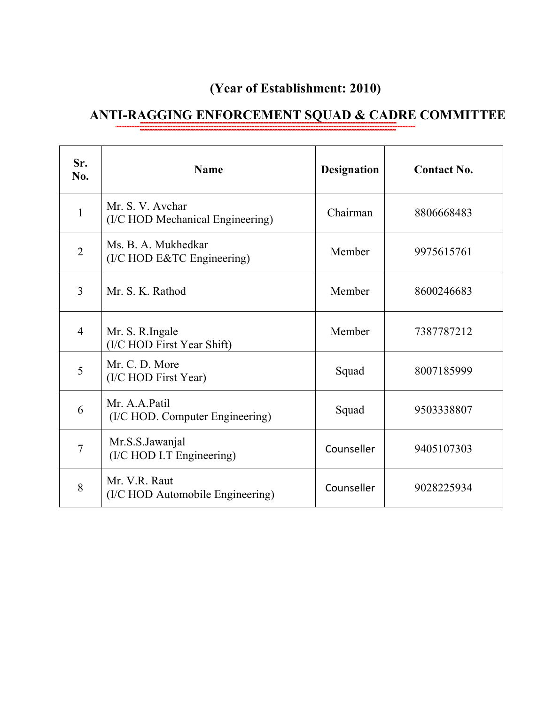### **(Year of Establishment: 2010)**

### **ANTI-RAGGING ENFORCEMENT SQUAD & CADRE COMMITTEE**

| Sr.<br>N <sub>0</sub> . | <b>Name</b>                                          | <b>Designation</b> | <b>Contact No.</b> |
|-------------------------|------------------------------------------------------|--------------------|--------------------|
| $\mathbf{1}$            | Mr. S. V. Avchar<br>(I/C HOD Mechanical Engineering) | Chairman           | 8806668483         |
| $\overline{2}$          | Ms. B. A. Mukhedkar<br>(I/C HOD E&TC Engineering)    | Member             | 9975615761         |
| $\overline{3}$          | Mr. S. K. Rathod                                     | Member             | 8600246683         |
| $\overline{4}$          | Mr. S. R. Ingale<br>(I/C HOD First Year Shift)       | Member             | 7387787212         |
| 5                       | Mr. C. D. More<br>(I/C HOD First Year)               | Squad              | 8007185999         |
| 6                       | Mr. A.A.Patil<br>(I/C HOD. Computer Engineering)     | Squad              | 9503338807         |
| $\overline{7}$          | Mr.S.S.Jawanjal<br>(I/C HOD I.T Engineering)         | Counseller         | 9405107303         |
| 8                       | Mr. V.R. Raut<br>(I/C HOD Automobile Engineering)    | Counseller         | 9028225934         |